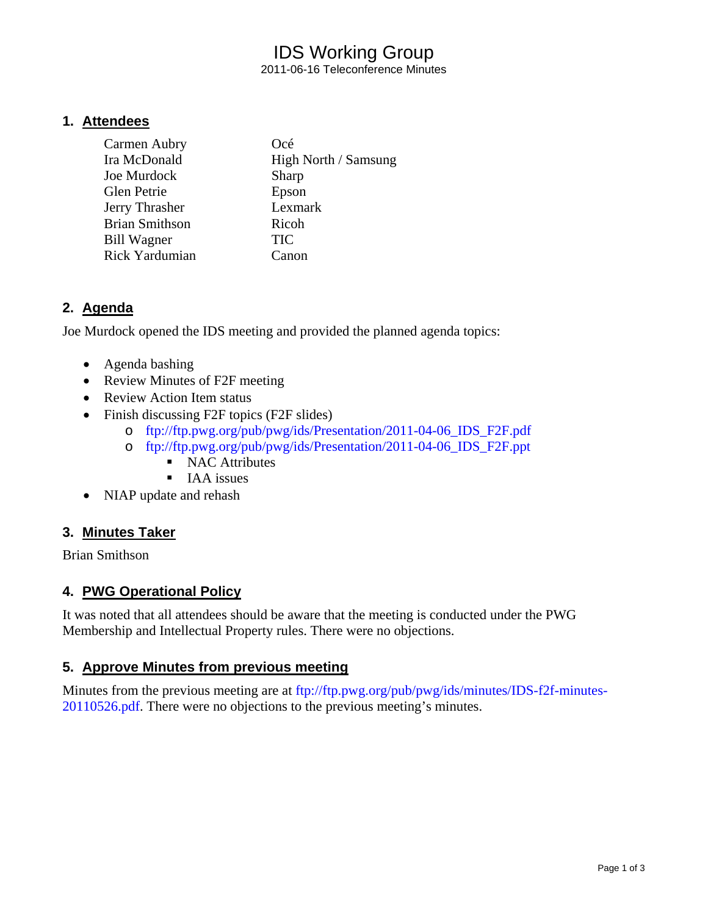# IDS Working Group

2011-06-16 Teleconference Minutes

#### **1. Attendees**

| Carmen Aubry          | Océ                  |
|-----------------------|----------------------|
| Ira McDonald          | High North / Samsung |
| Joe Murdock           | Sharp                |
| <b>Glen Petrie</b>    | Epson                |
| Jerry Thrasher        | Lexmark              |
| <b>Brian Smithson</b> | Ricoh                |
| <b>Bill Wagner</b>    | <b>TIC</b>           |
| Rick Yardumian        | C <sub>anon</sub>    |

# **2. Agenda**

Joe Murdock opened the IDS meeting and provided the planned agenda topics:

- Agenda bashing
- Review Minutes of F2F meeting
- Review Action Item status
- Finish discussing F2F topics (F2F slides)
	- o ftp://ftp.pwg.org/pub/pwg/ids/Presentation/2011-04-06\_IDS\_F2F.pdf
	- o ftp://ftp.pwg.org/pub/pwg/ids/Presentation/2011-04-06\_IDS\_F2F.ppt
		- NAC Attributes
		- $IAA$  issues
- NIAP update and rehash

# **3. Minutes Taker**

Brian Smithson

# **4. PWG Operational Policy**

It was noted that all attendees should be aware that the meeting is conducted under the PWG Membership and Intellectual Property rules. There were no objections.

#### **5. Approve Minutes from previous meeting**

Minutes from the previous meeting are at ftp://ftp.pwg.org/pub/pwg/ids/minutes/IDS-f2f-minutes-20110526.pdf. There were no objections to the previous meeting's minutes.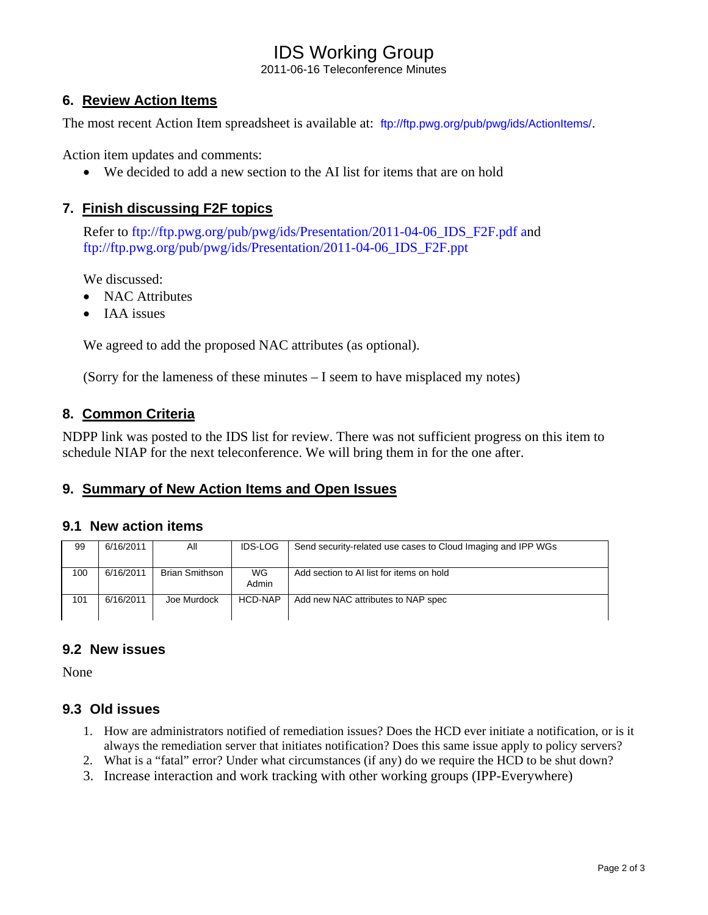# IDS Working Group

2011-06-16 Teleconference Minutes

# **6. Review Action Items**

The most recent Action Item spreadsheet is available at: ftp://ftp.pwg.org/pub/pwg/ids/ActionItems/.

Action item updates and comments:

• We decided to add a new section to the AI list for items that are on hold

#### **7. Finish discussing F2F topics**

Refer to ftp://ftp.pwg.org/pub/pwg/ids/Presentation/2011-04-06\_IDS\_F2F.pdf and ftp://ftp.pwg.org/pub/pwg/ids/Presentation/2011-04-06\_IDS\_F2F.ppt

We discussed:

- NAC Attributes
- IAA issues

We agreed to add the proposed NAC attributes (as optional).

(Sorry for the lameness of these minutes – I seem to have misplaced my notes)

#### **8. Common Criteria**

NDPP link was posted to the IDS list for review. There was not sufficient progress on this item to schedule NIAP for the next teleconference. We will bring them in for the one after.

# **9. Summary of New Action Items and Open Issues**

#### **9.1 New action items**

| 99  | 6/16/2011 | ΑIΙ                   | <b>IDS-LOG</b>     | Send security-related use cases to Cloud Imaging and IPP WGs |
|-----|-----------|-----------------------|--------------------|--------------------------------------------------------------|
| 100 | 6/16/2011 | <b>Brian Smithson</b> | <b>WG</b><br>Admin | Add section to AI list for items on hold                     |
| 101 | 6/16/2011 | Joe Murdock           | HCD-NAP            | Add new NAC attributes to NAP spec                           |

#### **9.2 New issues**

None

#### **9.3 Old issues**

- 1. How are administrators notified of remediation issues? Does the HCD ever initiate a notification, or is it always the remediation server that initiates notification? Does this same issue apply to policy servers?
- 2. What is a "fatal" error? Under what circumstances (if any) do we require the HCD to be shut down?
- 3. Increase interaction and work tracking with other working groups (IPP-Everywhere)